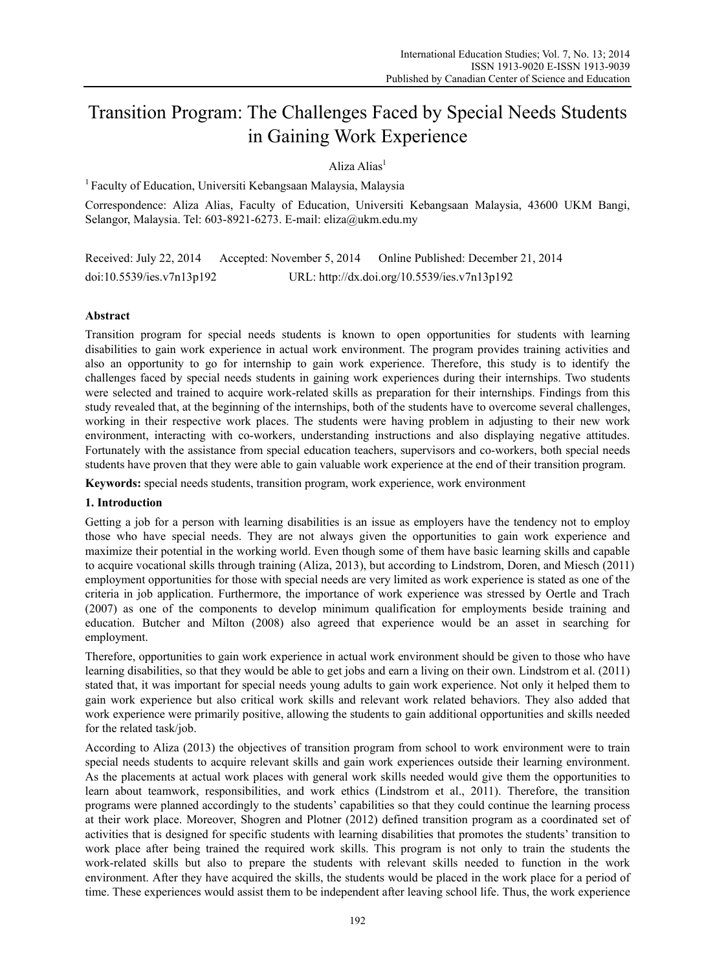# Transition Program: The Challenges Faced by Special Needs Students in Gaining Work Experience

Aliza Alias1

1 Faculty of Education, Universiti Kebangsaan Malaysia, Malaysia

Correspondence: Aliza Alias, Faculty of Education, Universiti Kebangsaan Malaysia, 43600 UKM Bangi, Selangor, Malaysia. Tel: 603-8921-6273. E-mail: eliza@ukm.edu.my

Received: July 22, 2014 Accepted: November 5, 2014 Online Published: December 21, 2014 doi:10.5539/ies.v7n13p192 URL: http://dx.doi.org/10.5539/ies.v7n13p192

# **Abstract**

Transition program for special needs students is known to open opportunities for students with learning disabilities to gain work experience in actual work environment. The program provides training activities and also an opportunity to go for internship to gain work experience. Therefore, this study is to identify the challenges faced by special needs students in gaining work experiences during their internships. Two students were selected and trained to acquire work-related skills as preparation for their internships. Findings from this study revealed that, at the beginning of the internships, both of the students have to overcome several challenges, working in their respective work places. The students were having problem in adjusting to their new work environment, interacting with co-workers, understanding instructions and also displaying negative attitudes. Fortunately with the assistance from special education teachers, supervisors and co-workers, both special needs students have proven that they were able to gain valuable work experience at the end of their transition program.

**Keywords:** special needs students, transition program, work experience, work environment

#### **1. Introduction**

Getting a job for a person with learning disabilities is an issue as employers have the tendency not to employ those who have special needs. They are not always given the opportunities to gain work experience and maximize their potential in the working world. Even though some of them have basic learning skills and capable to acquire vocational skills through training (Aliza, 2013), but according to Lindstrom, Doren, and Miesch (2011) employment opportunities for those with special needs are very limited as work experience is stated as one of the criteria in job application. Furthermore, the importance of work experience was stressed by Oertle and Trach (2007) as one of the components to develop minimum qualification for employments beside training and education. Butcher and Milton (2008) also agreed that experience would be an asset in searching for employment.

Therefore, opportunities to gain work experience in actual work environment should be given to those who have learning disabilities, so that they would be able to get jobs and earn a living on their own. Lindstrom et al. (2011) stated that, it was important for special needs young adults to gain work experience. Not only it helped them to gain work experience but also critical work skills and relevant work related behaviors. They also added that work experience were primarily positive, allowing the students to gain additional opportunities and skills needed for the related task/job.

According to Aliza (2013) the objectives of transition program from school to work environment were to train special needs students to acquire relevant skills and gain work experiences outside their learning environment. As the placements at actual work places with general work skills needed would give them the opportunities to learn about teamwork, responsibilities, and work ethics (Lindstrom et al., 2011). Therefore, the transition programs were planned accordingly to the students' capabilities so that they could continue the learning process at their work place. Moreover, Shogren and Plotner (2012) defined transition program as a coordinated set of activities that is designed for specific students with learning disabilities that promotes the students' transition to work place after being trained the required work skills. This program is not only to train the students the work-related skills but also to prepare the students with relevant skills needed to function in the work environment. After they have acquired the skills, the students would be placed in the work place for a period of time. These experiences would assist them to be independent after leaving school life. Thus, the work experience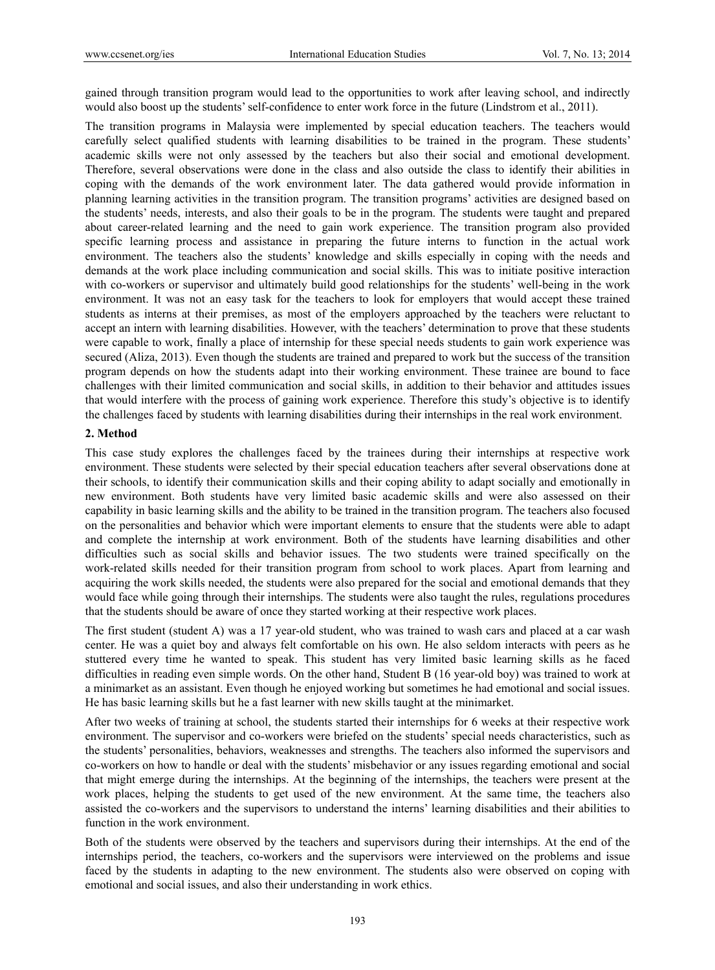gained through transition program would lead to the opportunities to work after leaving school, and indirectly would also boost up the students' self-confidence to enter work force in the future (Lindstrom et al., 2011).

The transition programs in Malaysia were implemented by special education teachers. The teachers would carefully select qualified students with learning disabilities to be trained in the program. These students' academic skills were not only assessed by the teachers but also their social and emotional development. Therefore, several observations were done in the class and also outside the class to identify their abilities in coping with the demands of the work environment later. The data gathered would provide information in planning learning activities in the transition program. The transition programs' activities are designed based on the students' needs, interests, and also their goals to be in the program. The students were taught and prepared about career-related learning and the need to gain work experience. The transition program also provided specific learning process and assistance in preparing the future interns to function in the actual work environment. The teachers also the students' knowledge and skills especially in coping with the needs and demands at the work place including communication and social skills. This was to initiate positive interaction with co-workers or supervisor and ultimately build good relationships for the students' well-being in the work environment. It was not an easy task for the teachers to look for employers that would accept these trained students as interns at their premises, as most of the employers approached by the teachers were reluctant to accept an intern with learning disabilities. However, with the teachers' determination to prove that these students were capable to work, finally a place of internship for these special needs students to gain work experience was secured (Aliza, 2013). Even though the students are trained and prepared to work but the success of the transition program depends on how the students adapt into their working environment. These trainee are bound to face challenges with their limited communication and social skills, in addition to their behavior and attitudes issues that would interfere with the process of gaining work experience. Therefore this study's objective is to identify the challenges faced by students with learning disabilities during their internships in the real work environment.

#### **2. Method**

This case study explores the challenges faced by the trainees during their internships at respective work environment. These students were selected by their special education teachers after several observations done at their schools, to identify their communication skills and their coping ability to adapt socially and emotionally in new environment. Both students have very limited basic academic skills and were also assessed on their capability in basic learning skills and the ability to be trained in the transition program. The teachers also focused on the personalities and behavior which were important elements to ensure that the students were able to adapt and complete the internship at work environment. Both of the students have learning disabilities and other difficulties such as social skills and behavior issues. The two students were trained specifically on the work-related skills needed for their transition program from school to work places. Apart from learning and acquiring the work skills needed, the students were also prepared for the social and emotional demands that they would face while going through their internships. The students were also taught the rules, regulations procedures that the students should be aware of once they started working at their respective work places.

The first student (student A) was a 17 year-old student, who was trained to wash cars and placed at a car wash center. He was a quiet boy and always felt comfortable on his own. He also seldom interacts with peers as he stuttered every time he wanted to speak. This student has very limited basic learning skills as he faced difficulties in reading even simple words. On the other hand, Student B (16 year-old boy) was trained to work at a minimarket as an assistant. Even though he enjoyed working but sometimes he had emotional and social issues. He has basic learning skills but he a fast learner with new skills taught at the minimarket.

After two weeks of training at school, the students started their internships for 6 weeks at their respective work environment. The supervisor and co-workers were briefed on the students' special needs characteristics, such as the students' personalities, behaviors, weaknesses and strengths. The teachers also informed the supervisors and co-workers on how to handle or deal with the students' misbehavior or any issues regarding emotional and social that might emerge during the internships. At the beginning of the internships, the teachers were present at the work places, helping the students to get used of the new environment. At the same time, the teachers also assisted the co-workers and the supervisors to understand the interns' learning disabilities and their abilities to function in the work environment.

Both of the students were observed by the teachers and supervisors during their internships. At the end of the internships period, the teachers, co-workers and the supervisors were interviewed on the problems and issue faced by the students in adapting to the new environment. The students also were observed on coping with emotional and social issues, and also their understanding in work ethics.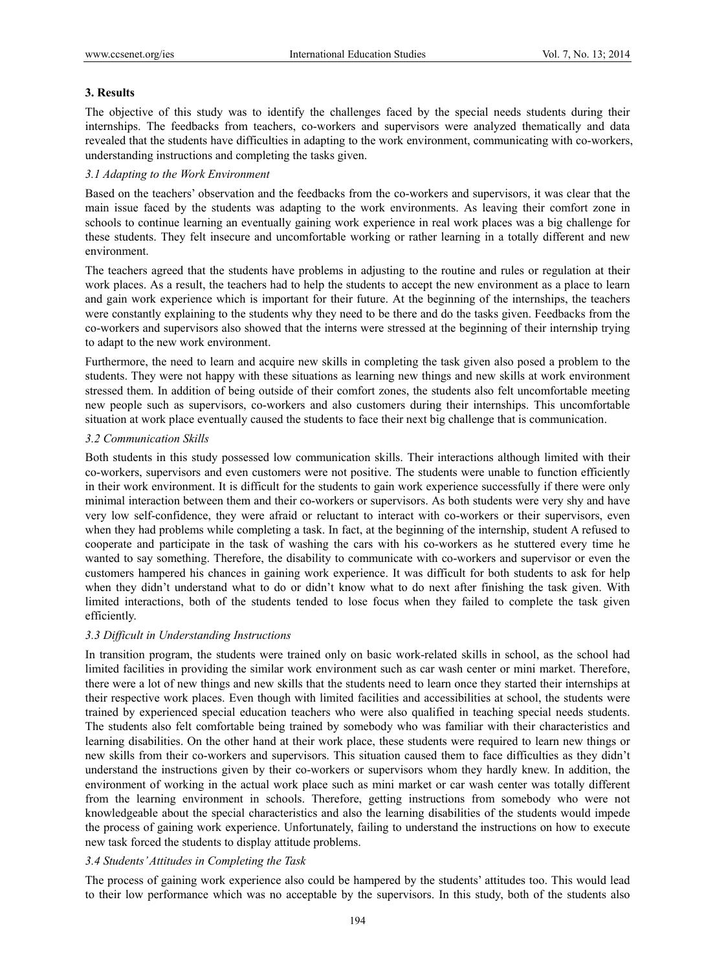## **3. Results**

The objective of this study was to identify the challenges faced by the special needs students during their internships. The feedbacks from teachers, co-workers and supervisors were analyzed thematically and data revealed that the students have difficulties in adapting to the work environment, communicating with co-workers, understanding instructions and completing the tasks given.

#### *3.1 Adapting to the Work Environment*

Based on the teachers' observation and the feedbacks from the co-workers and supervisors, it was clear that the main issue faced by the students was adapting to the work environments. As leaving their comfort zone in schools to continue learning an eventually gaining work experience in real work places was a big challenge for these students. They felt insecure and uncomfortable working or rather learning in a totally different and new environment.

The teachers agreed that the students have problems in adjusting to the routine and rules or regulation at their work places. As a result, the teachers had to help the students to accept the new environment as a place to learn and gain work experience which is important for their future. At the beginning of the internships, the teachers were constantly explaining to the students why they need to be there and do the tasks given. Feedbacks from the co-workers and supervisors also showed that the interns were stressed at the beginning of their internship trying to adapt to the new work environment.

Furthermore, the need to learn and acquire new skills in completing the task given also posed a problem to the students. They were not happy with these situations as learning new things and new skills at work environment stressed them. In addition of being outside of their comfort zones, the students also felt uncomfortable meeting new people such as supervisors, co-workers and also customers during their internships. This uncomfortable situation at work place eventually caused the students to face their next big challenge that is communication.

## *3.2 Communication Skills*

Both students in this study possessed low communication skills. Their interactions although limited with their co-workers, supervisors and even customers were not positive. The students were unable to function efficiently in their work environment. It is difficult for the students to gain work experience successfully if there were only minimal interaction between them and their co-workers or supervisors. As both students were very shy and have very low self-confidence, they were afraid or reluctant to interact with co-workers or their supervisors, even when they had problems while completing a task. In fact, at the beginning of the internship, student A refused to cooperate and participate in the task of washing the cars with his co-workers as he stuttered every time he wanted to say something. Therefore, the disability to communicate with co-workers and supervisor or even the customers hampered his chances in gaining work experience. It was difficult for both students to ask for help when they didn't understand what to do or didn't know what to do next after finishing the task given. With limited interactions, both of the students tended to lose focus when they failed to complete the task given efficiently.

# *3.3 Difficult in Understanding Instructions*

In transition program, the students were trained only on basic work-related skills in school, as the school had limited facilities in providing the similar work environment such as car wash center or mini market. Therefore, there were a lot of new things and new skills that the students need to learn once they started their internships at their respective work places. Even though with limited facilities and accessibilities at school, the students were trained by experienced special education teachers who were also qualified in teaching special needs students. The students also felt comfortable being trained by somebody who was familiar with their characteristics and learning disabilities. On the other hand at their work place, these students were required to learn new things or new skills from their co-workers and supervisors. This situation caused them to face difficulties as they didn't understand the instructions given by their co-workers or supervisors whom they hardly knew. In addition, the environment of working in the actual work place such as mini market or car wash center was totally different from the learning environment in schools. Therefore, getting instructions from somebody who were not knowledgeable about the special characteristics and also the learning disabilities of the students would impede the process of gaining work experience. Unfortunately, failing to understand the instructions on how to execute new task forced the students to display attitude problems.

# *3.4 Students' Attitudes in Completing the Task*

The process of gaining work experience also could be hampered by the students' attitudes too. This would lead to their low performance which was no acceptable by the supervisors. In this study, both of the students also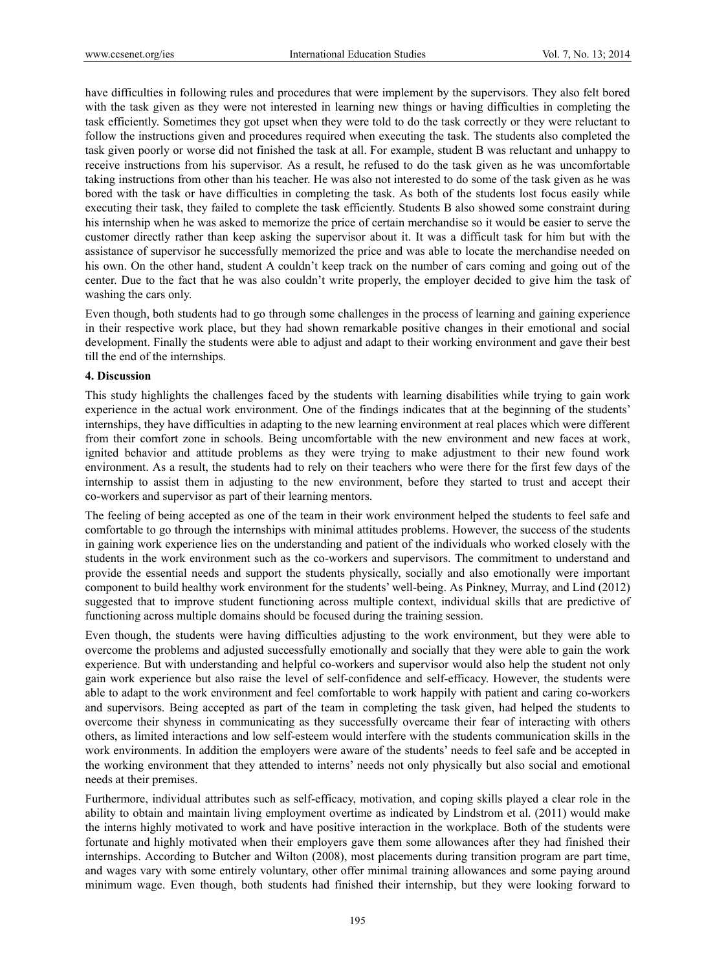have difficulties in following rules and procedures that were implement by the supervisors. They also felt bored with the task given as they were not interested in learning new things or having difficulties in completing the task efficiently. Sometimes they got upset when they were told to do the task correctly or they were reluctant to follow the instructions given and procedures required when executing the task. The students also completed the task given poorly or worse did not finished the task at all. For example, student B was reluctant and unhappy to receive instructions from his supervisor. As a result, he refused to do the task given as he was uncomfortable taking instructions from other than his teacher. He was also not interested to do some of the task given as he was bored with the task or have difficulties in completing the task. As both of the students lost focus easily while executing their task, they failed to complete the task efficiently. Students B also showed some constraint during his internship when he was asked to memorize the price of certain merchandise so it would be easier to serve the customer directly rather than keep asking the supervisor about it. It was a difficult task for him but with the assistance of supervisor he successfully memorized the price and was able to locate the merchandise needed on his own. On the other hand, student A couldn't keep track on the number of cars coming and going out of the center. Due to the fact that he was also couldn't write properly, the employer decided to give him the task of washing the cars only.

Even though, both students had to go through some challenges in the process of learning and gaining experience in their respective work place, but they had shown remarkable positive changes in their emotional and social development. Finally the students were able to adjust and adapt to their working environment and gave their best till the end of the internships.

#### **4. Discussion**

This study highlights the challenges faced by the students with learning disabilities while trying to gain work experience in the actual work environment. One of the findings indicates that at the beginning of the students' internships, they have difficulties in adapting to the new learning environment at real places which were different from their comfort zone in schools. Being uncomfortable with the new environment and new faces at work, ignited behavior and attitude problems as they were trying to make adjustment to their new found work environment. As a result, the students had to rely on their teachers who were there for the first few days of the internship to assist them in adjusting to the new environment, before they started to trust and accept their co-workers and supervisor as part of their learning mentors.

The feeling of being accepted as one of the team in their work environment helped the students to feel safe and comfortable to go through the internships with minimal attitudes problems. However, the success of the students in gaining work experience lies on the understanding and patient of the individuals who worked closely with the students in the work environment such as the co-workers and supervisors. The commitment to understand and provide the essential needs and support the students physically, socially and also emotionally were important component to build healthy work environment for the students' well-being. As Pinkney, Murray, and Lind (2012) suggested that to improve student functioning across multiple context, individual skills that are predictive of functioning across multiple domains should be focused during the training session.

Even though, the students were having difficulties adjusting to the work environment, but they were able to overcome the problems and adjusted successfully emotionally and socially that they were able to gain the work experience. But with understanding and helpful co-workers and supervisor would also help the student not only gain work experience but also raise the level of self-confidence and self-efficacy. However, the students were able to adapt to the work environment and feel comfortable to work happily with patient and caring co-workers and supervisors. Being accepted as part of the team in completing the task given, had helped the students to overcome their shyness in communicating as they successfully overcame their fear of interacting with others others, as limited interactions and low self-esteem would interfere with the students communication skills in the work environments. In addition the employers were aware of the students' needs to feel safe and be accepted in the working environment that they attended to interns' needs not only physically but also social and emotional needs at their premises.

Furthermore, individual attributes such as self-efficacy, motivation, and coping skills played a clear role in the ability to obtain and maintain living employment overtime as indicated by Lindstrom et al. (2011) would make the interns highly motivated to work and have positive interaction in the workplace. Both of the students were fortunate and highly motivated when their employers gave them some allowances after they had finished their internships. According to Butcher and Wilton (2008), most placements during transition program are part time, and wages vary with some entirely voluntary, other offer minimal training allowances and some paying around minimum wage. Even though, both students had finished their internship, but they were looking forward to